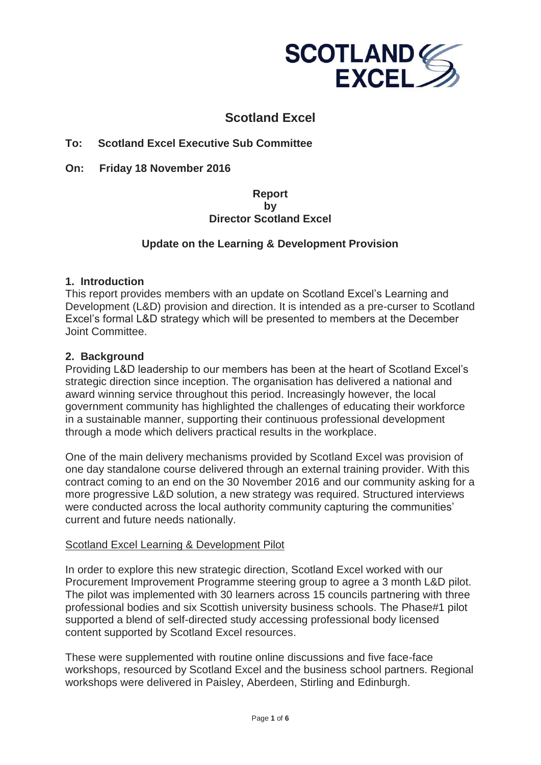

# **Scotland Excel**

### **To: Scotland Excel Executive Sub Committee**

**On: Friday 18 November 2016**

### **Report by Director Scotland Excel**

### **Update on the Learning & Development Provision**

#### **1. Introduction**

This report provides members with an update on Scotland Excel's Learning and Development (L&D) provision and direction. It is intended as a pre-curser to Scotland Excel's formal L&D strategy which will be presented to members at the December Joint Committee.

### **2. Background**

Providing L&D leadership to our members has been at the heart of Scotland Excel's strategic direction since inception. The organisation has delivered a national and award winning service throughout this period. Increasingly however, the local government community has highlighted the challenges of educating their workforce in a sustainable manner, supporting their continuous professional development through a mode which delivers practical results in the workplace.

One of the main delivery mechanisms provided by Scotland Excel was provision of one day standalone course delivered through an external training provider. With this contract coming to an end on the 30 November 2016 and our community asking for a more progressive L&D solution, a new strategy was required. Structured interviews were conducted across the local authority community capturing the communities' current and future needs nationally.

#### Scotland Excel Learning & Development Pilot

In order to explore this new strategic direction, Scotland Excel worked with our Procurement Improvement Programme steering group to agree a 3 month L&D pilot. The pilot was implemented with 30 learners across 15 councils partnering with three professional bodies and six Scottish university business schools. The Phase#1 pilot supported a blend of self-directed study accessing professional body licensed content supported by Scotland Excel resources.

These were supplemented with routine online discussions and five face-face workshops, resourced by Scotland Excel and the business school partners. Regional workshops were delivered in Paisley, Aberdeen, Stirling and Edinburgh.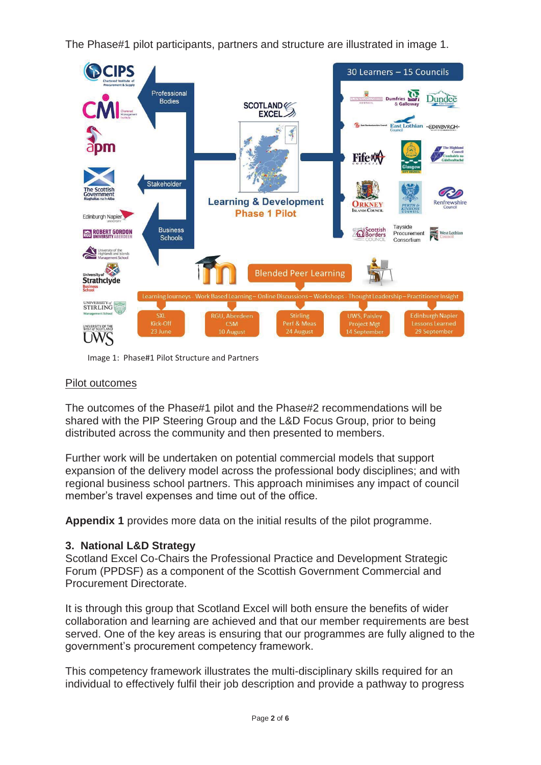The Phase#1 pilot participants, partners and structure are illustrated in image 1.



Image 1: Phase#1 Pilot Structure and Partners

### Pilot outcomes

The outcomes of the Phase#1 pilot and the Phase#2 recommendations will be shared with the PIP Steering Group and the L&D Focus Group, prior to being distributed across the community and then presented to members.

Further work will be undertaken on potential commercial models that support expansion of the delivery model across the professional body disciplines; and with regional business school partners. This approach minimises any impact of council member's travel expenses and time out of the office.

**Appendix 1** provides more data on the initial results of the pilot programme.

# **3. National L&D Strategy**

Scotland Excel Co-Chairs the Professional Practice and Development Strategic Forum (PPDSF) as a component of the Scottish Government Commercial and Procurement Directorate.

It is through this group that Scotland Excel will both ensure the benefits of wider collaboration and learning are achieved and that our member requirements are best served. One of the key areas is ensuring that our programmes are fully aligned to the government's procurement competency framework.

This competency framework illustrates the multi-disciplinary skills required for an individual to effectively fulfil their job description and provide a pathway to progress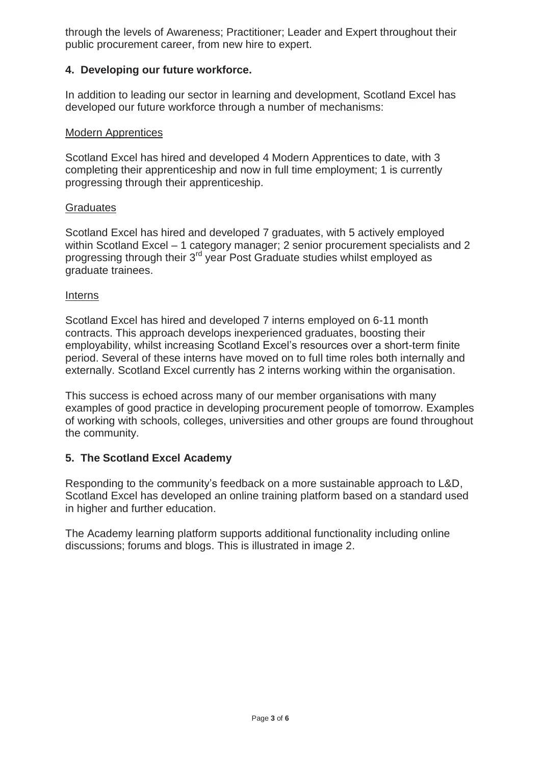through the levels of Awareness; Practitioner; Leader and Expert throughout their public procurement career, from new hire to expert.

### **4. Developing our future workforce.**

In addition to leading our sector in learning and development, Scotland Excel has developed our future workforce through a number of mechanisms:

#### Modern Apprentices

Scotland Excel has hired and developed 4 Modern Apprentices to date, with 3 completing their apprenticeship and now in full time employment; 1 is currently progressing through their apprenticeship.

#### **Graduates**

Scotland Excel has hired and developed 7 graduates, with 5 actively employed within Scotland Excel – 1 category manager; 2 senior procurement specialists and 2 progressing through their 3<sup>rd</sup> year Post Graduate studies whilst employed as graduate trainees.

#### Interns

Scotland Excel has hired and developed 7 interns employed on 6-11 month contracts. This approach develops inexperienced graduates, boosting their employability, whilst increasing Scotland Excel's resources over a short-term finite period. Several of these interns have moved on to full time roles both internally and externally. Scotland Excel currently has 2 interns working within the organisation.

This success is echoed across many of our member organisations with many examples of good practice in developing procurement people of tomorrow. Examples of working with schools, colleges, universities and other groups are found throughout the community.

# **5. The Scotland Excel Academy**

Responding to the community's feedback on a more sustainable approach to L&D, Scotland Excel has developed an online training platform based on a standard used in higher and further education.

The Academy learning platform supports additional functionality including online discussions; forums and blogs. This is illustrated in image 2.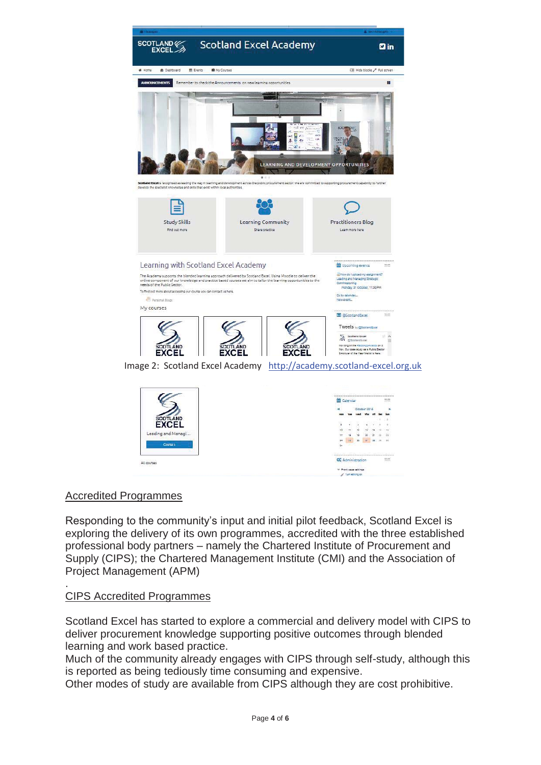



# Accredited Programmes

Responding to the community's input and initial pilot feedback, Scotland Excel is exploring the delivery of its own programmes, accredited with the three established professional body partners – namely the Chartered Institute of Procurement and Supply (CIPS); the Chartered Management Institute (CMI) and the Association of Project Management (APM)

#### . CIPS Accredited Programmes

Scotland Excel has started to explore a commercial and delivery model with CIPS to deliver procurement knowledge supporting positive outcomes through blended learning and work based practice.

Much of the community already engages with CIPS through self-study, although this is reported as being tediously time consuming and expensive.

Other modes of study are available from CIPS although they are cost prohibitive.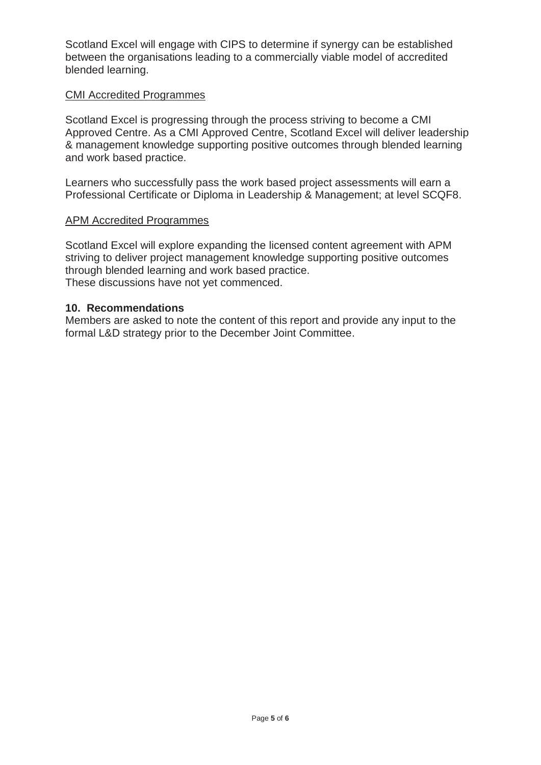Scotland Excel will engage with CIPS to determine if synergy can be established between the organisations leading to a commercially viable model of accredited blended learning.

#### CMI Accredited Programmes

Scotland Excel is progressing through the process striving to become a CMI Approved Centre. As a CMI Approved Centre, Scotland Excel will deliver leadership & management knowledge supporting positive outcomes through blended learning and work based practice.

Learners who successfully pass the work based project assessments will earn a Professional Certificate or Diploma in Leadership & Management; at level SCQF8.

#### APM Accredited Programmes

Scotland Excel will explore expanding the licensed content agreement with APM striving to deliver project management knowledge supporting positive outcomes through blended learning and work based practice. These discussions have not yet commenced.

#### **10. Recommendations**

Members are asked to note the content of this report and provide any input to the formal L&D strategy prior to the December Joint Committee.